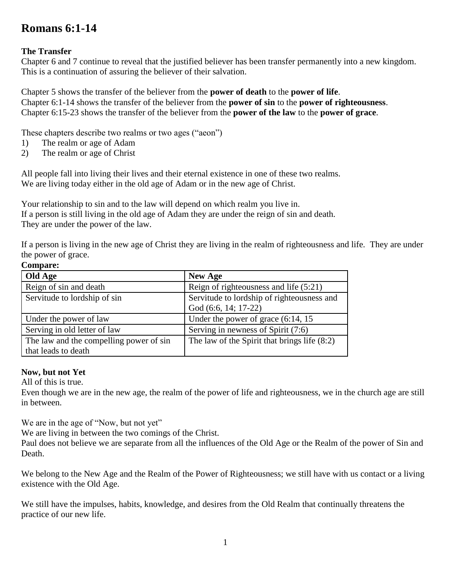# **Romans 6:1-14**

## **The Transfer**

Chapter 6 and 7 continue to reveal that the justified believer has been transfer permanently into a new kingdom. This is a continuation of assuring the believer of their salvation.

Chapter 5 shows the transfer of the believer from the **power of death** to the **power of life**. Chapter 6:1-14 shows the transfer of the believer from the **power of sin** to the **power of righteousness**. Chapter 6:15-23 shows the transfer of the believer from the **power of the law** to the **power of grace**.

These chapters describe two realms or two ages ("aeon")

- 1) The realm or age of Adam
- 2) The realm or age of Christ

All people fall into living their lives and their eternal existence in one of these two realms. We are living today either in the old age of Adam or in the new age of Christ.

Your relationship to sin and to the law will depend on which realm you live in. If a person is still living in the old age of Adam they are under the reign of sin and death. They are under the power of the law.

If a person is living in the new age of Christ they are living in the realm of righteousness and life. They are under the power of grace.

#### **Compare:**

| Old Age                                 | <b>New Age</b>                               |
|-----------------------------------------|----------------------------------------------|
| Reign of sin and death                  | Reign of righteousness and life $(5:21)$     |
| Servitude to lordship of sin            | Servitude to lordship of righteousness and   |
|                                         | God (6:6, 14; 17-22)                         |
| Under the power of law                  | Under the power of grace $(6:14, 15)$        |
| Serving in old letter of law            | Serving in newness of Spirit (7:6)           |
| The law and the compelling power of sin | The law of the Spirit that brings life (8:2) |
| that leads to death                     |                                              |

### **Now, but not Yet**

All of this is true.

Even though we are in the new age, the realm of the power of life and righteousness, we in the church age are still in between.

We are in the age of "Now, but not yet"

We are living in between the two comings of the Christ.

Paul does not believe we are separate from all the influences of the Old Age or the Realm of the power of Sin and Death.

We belong to the New Age and the Realm of the Power of Righteousness; we still have with us contact or a living existence with the Old Age.

We still have the impulses, habits, knowledge, and desires from the Old Realm that continually threatens the practice of our new life.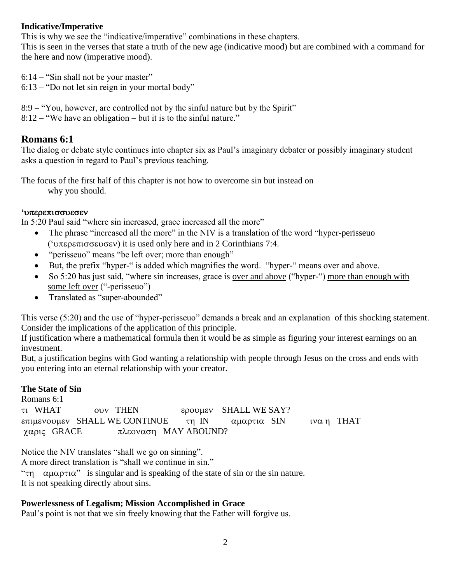## **Indicative/Imperative**

This is why we see the "indicative/imperative" combinations in these chapters.

This is seen in the verses that state a truth of the new age (indicative mood) but are combined with a command for the here and now (imperative mood).

6:14 – "Sin shall not be your master"

6:13 – "Do not let sin reign in your mortal body"

8:9 – "You, however, are controlled not by the sinful nature but by the Spirit" 8:12 – "We have an obligation – but it is to the sinful nature."

## **Romans 6:1**

The dialog or debate style continues into chapter six as Paul's imaginary debater or possibly imaginary student asks a question in regard to Paul's previous teaching.

The focus of the first half of this chapter is not how to overcome sin but instead on why you should.

### **'**

In 5:20 Paul said "where sin increased, grace increased all the more"

- The phrase "increased all the more" in the NIV is a translation of the word "hyper-perisseuo" ('υπερεπισσευσεν) it is used only here and in 2 Corinthians 7:4.
- "perisseuo" means "be left over; more than enough"
- But, the prefix "hyper-" is added which magnifies the word. "hyper-" means over and above.
- So 5:20 has just said, "where sin increases, grace is over and above ("hyper-") more than enough with some left over ("-perisseuo")
- Translated as "super-abounded"

This verse (5:20) and the use of "hyper-perisseuo" demands a break and an explanation of this shocking statement. Consider the implications of the application of this principle.

If justification where a mathematical formula then it would be as simple as figuring your interest earnings on an investment.

But, a justification begins with God wanting a relationship with people through Jesus on the cross and ends with you entering into an eternal relationship with your creator.

### **The State of Sin**

Romans 6:1 TI WHAT OUV THEN EPOULEY SHALL WE SAY? επιμενουμεν SHALL WE CONTINUE τη IN  $\alpha$ μαρτια SIN ινα η THAT γαρις GRACE πλεοναση MAY ABOUND?

Notice the NIV translates "shall we go on sinning".

A more direct translation is "shall we continue in sin."

" $\tau$   $\alpha$ μαρτια" is singular and is speaking of the state of sin or the sin nature. It is not speaking directly about sins.

## **Powerlessness of Legalism; Mission Accomplished in Grace**

Paul's point is not that we sin freely knowing that the Father will forgive us.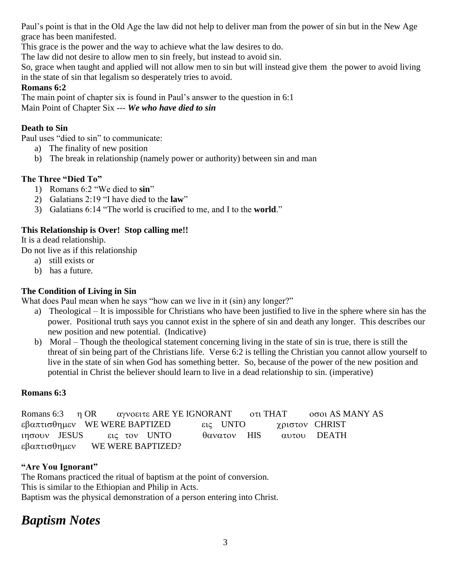Paul's point is that in the Old Age the law did not help to deliver man from the power of sin but in the New Age grace has been manifested.

This grace is the power and the way to achieve what the law desires to do.

The law did not desire to allow men to sin freely, but instead to avoid sin.

So, grace when taught and applied will not allow men to sin but will instead give them the power to avoid living in the state of sin that legalism so desperately tries to avoid.

## **Romans 6:2**

The main point of chapter six is found in Paul's answer to the question in 6:1 Main Point of Chapter Six --- *We who have died to sin*

## **Death to Sin**

Paul uses "died to sin" to communicate:

- a) The finality of new position
- b) The break in relationship (namely power or authority) between sin and man

## **The Three "Died To"**

- 1) Romans 6:2 "We died to **sin**"
- 2) Galatians 2:19 "I have died to the **law**"
- 3) Galatians 6:14 "The world is crucified to me, and I to the **world**."

## **This Relationship is Over! Stop calling me!!**

It is a dead relationship.

Do not live as if this relationship

- a) still exists or
- b) has a future.

## **The Condition of Living in Sin**

What does Paul mean when he says "how can we live in it (sin) any longer?"

- a) Theological It is impossible for Christians who have been justified to live in the sphere where sin has the power. Positional truth says you cannot exist in the sphere of sin and death any longer. This describes our new position and new potential. (Indicative)
- b) Moral Though the theological statement concerning living in the state of sin is true, there is still the threat of sin being part of the Christians life. Verse 6:2 is telling the Christian you cannot allow yourself to live in the state of sin when God has something better. So, because of the power of the new position and potential in Christ the believer should learn to live in a dead relationship to sin. (imperative)

## **Romans 6:3**

| Romans 6:3 η OR αγνοειτε ARE YE IGNORANT oτι THAT |                   |  |             |  | οσοι AS MANY AS |  |
|---------------------------------------------------|-------------------|--|-------------|--|-----------------|--|
| εβαπτισθημεν WE WERE BAPTIZED                     |                   |  | εις UNTO    |  | χριστον CHRIST  |  |
| ιησουν JESUS εις τον UNTO                         |                   |  | θανατον HIS |  | αυτου DEATH     |  |
| εβαπτισθημεν                                      | WE WERE BAPTIZED? |  |             |  |                 |  |

## **"Are You Ignorant"**

The Romans practiced the ritual of baptism at the point of conversion. This is similar to the Ethiopian and Philip in Acts. Baptism was the physical demonstration of a person entering into Christ.

# *Baptism Notes*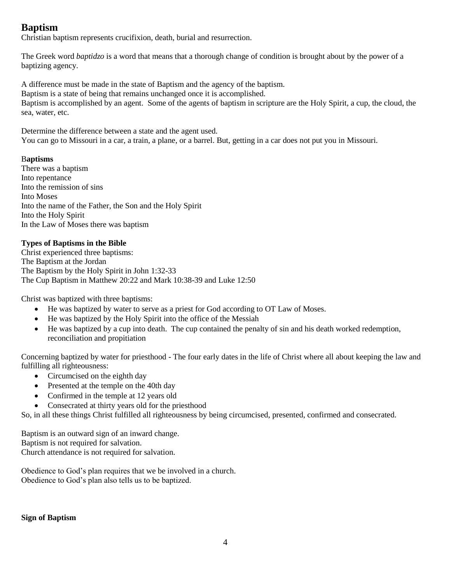## **Baptism**

Christian baptism represents crucifixion, death, burial and resurrection.

The Greek word *baptidzo* is a word that means that a thorough change of condition is brought about by the power of a baptizing agency.

A difference must be made in the state of Baptism and the agency of the baptism. Baptism is a state of being that remains unchanged once it is accomplished. Baptism is accomplished by an agent. Some of the agents of baptism in scripture are the Holy Spirit, a cup, the cloud, the sea, water, etc.

Determine the difference between a state and the agent used. You can go to Missouri in a car, a train, a plane, or a barrel. But, getting in a car does not put you in Missouri.

#### B**aptisms**

There was a baptism Into repentance Into the remission of sins Into Moses Into the name of the Father, the Son and the Holy Spirit Into the Holy Spirit In the Law of Moses there was baptism

#### **Types of Baptisms in the Bible**

Christ experienced three baptisms: The Baptism at the Jordan The Baptism by the Holy Spirit in John 1:32-33 The Cup Baptism in Matthew 20:22 and Mark 10:38-39 and Luke 12:50

Christ was baptized with three baptisms:

- He was baptized by water to serve as a priest for God according to OT Law of Moses.
- He was baptized by the Holy Spirit into the office of the Messiah
- He was baptized by a cup into death. The cup contained the penalty of sin and his death worked redemption, reconciliation and propitiation

Concerning baptized by water for priesthood - The four early dates in the life of Christ where all about keeping the law and fulfilling all righteousness:

- Circumcised on the eighth day
- Presented at the temple on the 40th day
- Confirmed in the temple at 12 years old
- Consecrated at thirty years old for the priesthood

So, in all these things Christ fulfilled all righteousness by being circumcised, presented, confirmed and consecrated.

Baptism is an outward sign of an inward change. Baptism is not required for salvation. Church attendance is not required for salvation.

Obedience to God's plan requires that we be involved in a church. Obedience to God's plan also tells us to be baptized.

**Sign of Baptism**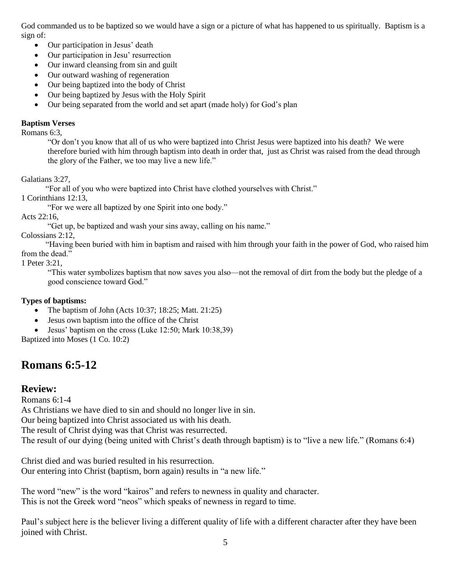God commanded us to be baptized so we would have a sign or a picture of what has happened to us spiritually. Baptism is a sign of:

- Our participation in Jesus' death
- Our participation in Jesu' resurrection
- Our inward cleansing from sin and guilt
- Our outward washing of regeneration
- Our being baptized into the body of Christ
- Our being baptized by Jesus with the Holy Spirit
- Our being separated from the world and set apart (made holy) for God's plan

#### **Baptism Verses**

Romans 6:3,

"Or don't you know that all of us who were baptized into Christ Jesus were baptized into his death? We were therefore buried with him through baptism into death in order that, just as Christ was raised from the dead through the glory of the Father, we too may live a new life."

Galatians 3:27,

"For all of you who were baptized into Christ have clothed yourselves with Christ."

1 Corinthians 12:13,

"For we were all baptized by one Spirit into one body."

Acts 22:16,

"Get up, be baptized and wash your sins away, calling on his name."

Colossians 2:12,

 "Having been buried with him in baptism and raised with him through your faith in the power of God, who raised him from the dead."

1 Peter 3:21,

"This water symbolizes baptism that now saves you also—not the removal of dirt from the body but the pledge of a good conscience toward God."

#### **Types of baptisms:**

- The baptism of John (Acts 10:37; 18:25; Matt. 21:25)
- Jesus own baptism into the office of the Christ
- Jesus' baptism on the cross (Luke 12:50; Mark 10:38,39)

Baptized into Moses (1 Co. 10:2)

## **Romans 6:5-12**

### **Review:**

Romans 6:1-4

As Christians we have died to sin and should no longer live in sin.

Our being baptized into Christ associated us with his death.

The result of Christ dying was that Christ was resurrected.

The result of our dying (being united with Christ's death through baptism) is to "live a new life." (Romans 6:4)

Christ died and was buried resulted in his resurrection. Our entering into Christ (baptism, born again) results in "a new life."

The word "new" is the word "kairos" and refers to newness in quality and character. This is not the Greek word "neos" which speaks of newness in regard to time.

Paul's subject here is the believer living a different quality of life with a different character after they have been joined with Christ.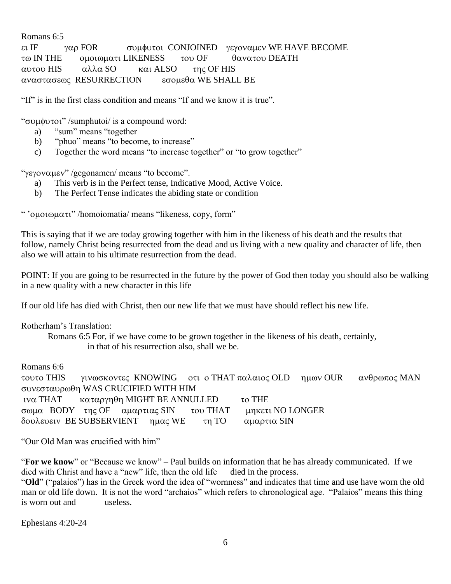Romans 6:5 ει IF γαρ FOR συμφυτοι CONJOINED γεγοναμεν WE HAVE BECOME τω IN THE  $\qquad$  ομοιωματι LIKENESS του OF  $\qquad$  θανατου DEATH αυτου HIS αλλα SO και ALSO της OF HIS  $\alpha$ ναστασεως RESURRECTION εσομεθα WE SHALL BE

"If" is in the first class condition and means "If and we know it is true".

" συμφυτοι" / sumphutoi/ is a compound word:

- a) "sum" means "together
- b) "phuo" means "to become, to increase"
- c) Together the word means "to increase together" or "to grow together"

" $\gamma$ εγοναμεν" /gegonamen/ means "to become".

- a) This verb is in the Perfect tense, Indicative Mood, Active Voice.
- b) The Perfect Tense indicates the abiding state or condition

" ' $\alpha$ μοιωματι'' /homoiomatia/ means "likeness, copy, form"

This is saying that if we are today growing together with him in the likeness of his death and the results that follow, namely Christ being resurrected from the dead and us living with a new quality and character of life, then also we will attain to his ultimate resurrection from the dead.

POINT: If you are going to be resurrected in the future by the power of God then today you should also be walking in a new quality with a new character in this life

If our old life has died with Christ, then our new life that we must have should reflect his new life.

Rotherham's Translation:

Romans 6:5 For, if we have come to be grown together in the likeness of his death, certainly,

in that of his resurrection also, shall we be.

Romans 6:6

τουτο THIS γινωσκοντες KNOWING oτι ο THAT παλαιος OLD ημων OUR ανθρωπος MAN συνεσταυρωθη WAS CRUCIFIED WITH HIM ινα THAT  $\kappa$ αταργηθη MIGHT BE ANNULLED το THE σωμα BODY της OF αμαρτιας SIN του THAT μηκετι NO LONGER δουλευειν BE SUBSERVIENT ημας WE τη TO αμαρτια SIN

"Our Old Man was crucified with him"

"**For we know**" or "Because we know" – Paul builds on information that he has already communicated. If we died with Christ and have a "new" life, then the old life died in the process.

"Old" ("palaios") has in the Greek word the idea of "wornness" and indicates that time and use have worn the old man or old life down. It is not the word "archaios" which refers to chronological age. "Palaios" means this thing is worn out and useless.

Ephesians 4:20-24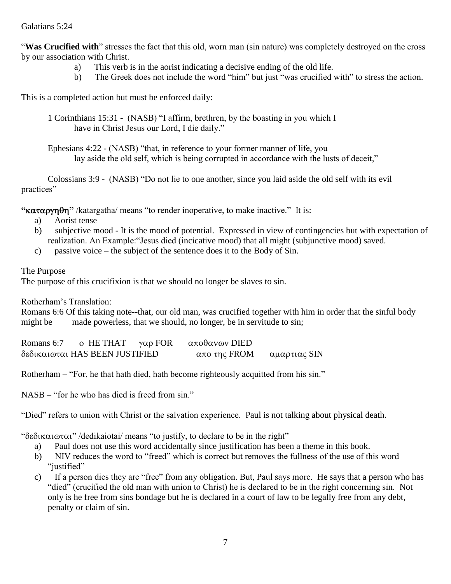#### Galatians 5:24

"Was Crucified with" stresses the fact that this old, worn man (sin nature) was completely destroyed on the cross by our association with Christ.

- a) This verb is in the aorist indicating a decisive ending of the old life.
- b) The Greek does not include the word "him" but just "was crucified with" to stress the action.

This is a completed action but must be enforced daily:

- 1 Corinthians 15:31 (NASB) "I affirm, brethren, by the boasting in you which I have in Christ Jesus our Lord, I die daily."
- Ephesians 4:22 (NASB) "that, in reference to your former manner of life, you lay aside the old self, which is being corrupted in accordance with the lusts of deceit,"

Colossians 3:9 - (NASB) "Do not lie to one another, since you laid aside the old self with its evil practices"

**""** /katargatha/ means "to render inoperative, to make inactive." It is:

- a) Aorist tense
- b) subjective mood It is the mood of potential. Expressed in view of contingencies but with expectation of realization. An Example:"Jesus died (incicative mood) that all might (subjunctive mood) saved.
- c) passive voice the subject of the sentence does it to the Body of Sin.

The Purpose

The purpose of this crucifixion is that we should no longer be slaves to sin.

Rotherham's Translation:

Romans 6:6 Of this taking note--that, our old man, was crucified together with him in order that the sinful body might be made powerless, that we should, no longer, be in servitude to sin;

| Romans 6:7 | o HE THAT                      | $\gamma$ αρ FOR | αποθανων DIED |              |
|------------|--------------------------------|-----------------|---------------|--------------|
|            | δεδικαιωται HAS BEEN JUSTIFIED |                 | απο της FROM  | αμαρτιας SIN |

Rotherham – "For, he that hath died, hath become righteously acquitted from his sin."

NASB – "for he who has died is freed from sin."

"Died" refers to union with Christ or the salvation experience. Paul is not talking about physical death.

" $\delta \epsilon \delta \iota \kappa \alpha \iota \omega \tau \alpha \iota$ " /dedikaiotai/ means "to justify, to declare to be in the right"

- a) Paul does not use this word accidentally since justification has been a theme in this book.
- b) NIV reduces the word to "freed" which is correct but removes the fullness of the use of this word "justified"
- c) If a person dies they are "free" from any obligation. But, Paul says more. He says that a person who has "died" (crucified the old man with union to Christ) he is declared to be in the right concerning sin. Not only is he free from sins bondage but he is declared in a court of law to be legally free from any debt, penalty or claim of sin.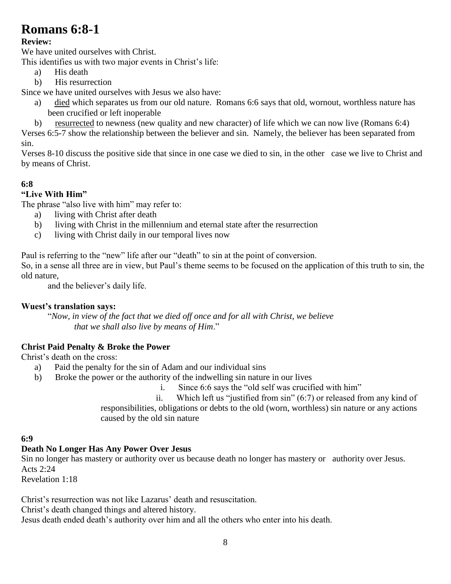# **Romans 6:8-1**

## **Review:**

We have united ourselves with Christ.

This identifies us with two major events in Christ's life:

- a) His death
- b) His resurrection

Since we have united ourselves with Jesus we also have:

- a) died which separates us from our old nature. Romans 6:6 says that old, wornout, worthless nature has been crucified or left inoperable
- b) resurrected to newness (new quality and new character) of life which we can now live (Romans 6:4)

Verses 6:5-7 show the relationship between the believer and sin. Namely, the believer has been separated from sin.

Verses 8-10 discuss the positive side that since in one case we died to sin, in the other case we live to Christ and by means of Christ.

## **6:8**

## **"Live With Him"**

The phrase "also live with him" may refer to:

- a) living with Christ after death
- b) living with Christ in the millennium and eternal state after the resurrection
- c) living with Christ daily in our temporal lives now

Paul is referring to the "new" life after our "death" to sin at the point of conversion.

So, in a sense all three are in view, but Paul's theme seems to be focused on the application of this truth to sin, the old nature,

and the believer's daily life.

### **Wuest's translation says:**

 "*Now, in view of the fact that we died off once and for all with Christ, we believe that we shall also live by means of Him*."

## **Christ Paid Penalty & Broke the Power**

Christ's death on the cross:

- a) Paid the penalty for the sin of Adam and our individual sins
- b) Broke the power or the authority of the indwelling sin nature in our lives
	-

i. Since 6:6 says the "old self was crucified with him"<br>ii. Which left us "iustified from sin" (6:7) or released fr Which left us "justified from sin"  $(6:7)$  or released from any kind of responsibilities, obligations or debts to the old (worn, worthless) sin nature or any actions

caused by the old sin nature

### **6:9**

## **Death No Longer Has Any Power Over Jesus**

Sin no longer has mastery or authority over us because death no longer has mastery or authority over Jesus. Acts 2:24

Revelation 1:18

Christ's resurrection was not like Lazarus' death and resuscitation.

Christ's death changed things and altered history.

Jesus death ended death's authority over him and all the others who enter into his death.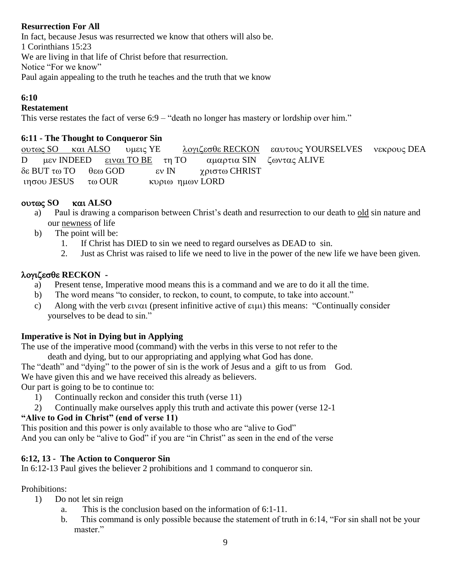## **Resurrection For All**

In fact, because Jesus was resurrected we know that others will also be. 1 Corinthians 15:23 We are living in that life of Christ before that resurrection. Notice "For we know" Paul again appealing to the truth he teaches and the truth that we know

#### **6:10**

#### **Restatement**

This verse restates the fact of verse 6:9 – "death no longer has mastery or lordship over him."

#### **6:11 - The Thought to Conqueror Sin**

<u>ουτως SO</u> και ALSO υμεις ΥΕ λογιζεσθε RECKON εαυτους YOURSELVES νεκρους DEA D μεν INDEED ειναι TO BE τη TO αμαρτια SIN ζωντας ALIVE  $\delta \varepsilon$  BUT  $\tau \omega$  TO  $\theta \varepsilon \omega$  GOD  $\qquad \varepsilon \nu$  IN  $\gamma \rho$ ιστ $\omega$  CHRIST ιησου JESUS τω OUR κυριω ημων LORD

#### **SO ALSO**

- a) Paul is drawing a comparison between Christ's death and resurrection to our death to old sin nature and our newness of life
- b) The point will be:
	- 1. If Christ has DIED to sin we need to regard ourselves as DEAD to sin.
	- 2. Just as Christ was raised to life we need to live in the power of the new life we have been given.

### **RECKON -**

- a) Present tense, Imperative mood means this is a command and we are to do it all the time.
- b) The word means "to consider, to reckon, to count, to compute, to take into account."
- c) Along with the verb  $\epsilon$  val (present infinitive active of  $\epsilon$  uu) this means: "Continually consider yourselves to be dead to sin."

### **Imperative is Not in Dying but in Applying**

The use of the imperative mood (command) with the verbs in this verse to not refer to the death and dying, but to our appropriating and applying what God has done.

The "death" and "dying" to the power of sin is the work of Jesus and a gift to us from God. We have given this and we have received this already as believers.

Our part is going to be to continue to:

- 1) Continually reckon and consider this truth (verse 11)
- 2) Continually make ourselves apply this truth and activate this power (verse 12-1

### **"Alive to God in Christ" (end of verse 11)**

This position and this power is only available to those who are "alive to God" And you can only be "alive to God" if you are "in Christ" as seen in the end of the verse

### **6:12, 13 - The Action to Conqueror Sin**

In 6:12-13 Paul gives the believer 2 prohibitions and 1 command to conqueror sin.

Prohibitions:

- 1) Do not let sin reign
	- a. This is the conclusion based on the information of 6:1-11.
	- b. This command is only possible because the statement of truth in 6:14, "For sin shall not be your master."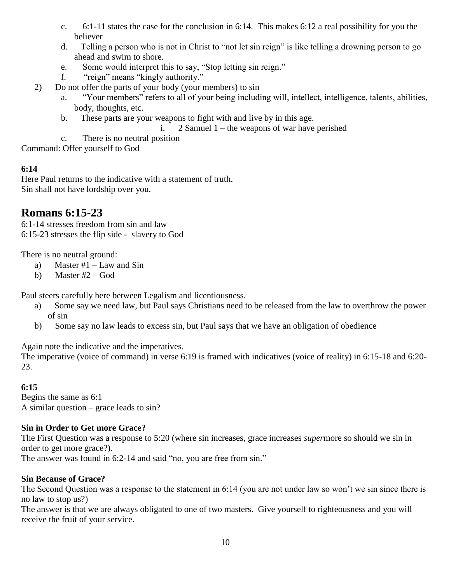- c. 6:1-11 states the case for the conclusion in 6:14. This makes 6:12 a real possibility for you the believer
- d. Telling a person who is not in Christ to "not let sin reign" is like telling a drowning person to go ahead and swim to shore.
- e. Some would interpret this to say, "Stop letting sin reign."
- f. "reign" means "kingly authority."
- 2) Do not offer the parts of your body (your members) to sin
	- a. "Your members" refers to all of your being including will, intellect, intelligence, talents, abilities, body, thoughts, etc.
	- b. These parts are your weapons to fight with and live by in this age.
		- i. 2 Samuel 1 the weapons of war have perished
	- c. There is no neutral position

Command: Offer yourself to God

## **6:14**

Here Paul returns to the indicative with a statement of truth. Sin shall not have lordship over you.

## **Romans 6:15-23**

6:1-14 stresses freedom from sin and law 6:15-23 stresses the flip side - slavery to God

There is no neutral ground:

- a) Master #1 Law and Sin
- b) Master  $#2 God$

Paul steers carefully here between Legalism and licentiousness.

- a) Some say we need law, but Paul says Christians need to be released from the law to overthrow the power of sin
- b) Some say no law leads to excess sin, but Paul says that we have an obligation of obedience

Again note the indicative and the imperatives.

The imperative (voice of command) in verse 6:19 is framed with indicatives (voice of reality) in 6:15-18 and 6:20- 23.

## **6:15**

Begins the same as 6:1 A similar question – grace leads to sin?

## **Sin in Order to Get more Grace?**

The First Question was a response to 5:20 (where sin increases, grace increases *super*more so should we sin in order to get more grace?).

The answer was found in 6:2-14 and said "no, you are free from sin."

## **Sin Because of Grace?**

The Second Question was a response to the statement in 6:14 (you are not under law so won't we sin since there is no law to stop us?)

The answer is that we are always obligated to one of two masters. Give yourself to righteousness and you will receive the fruit of your service.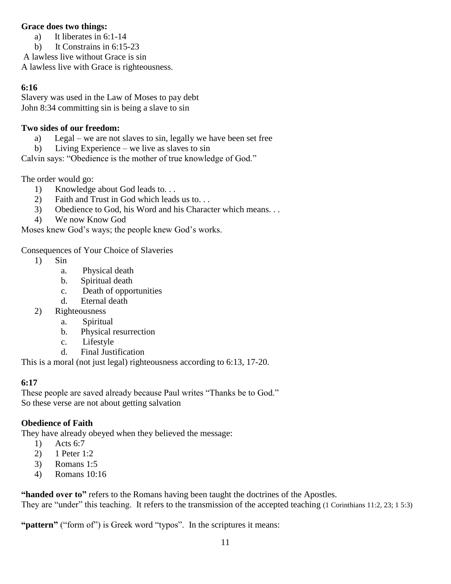### **Grace does two things:**

- a) It liberates in 6:1-14
- b) It Constrains in 6:15-23

A lawless live without Grace is sin

A lawless live with Grace is righteousness.

#### **6:16**

Slavery was used in the Law of Moses to pay debt John 8:34 committing sin is being a slave to sin

### **Two sides of our freedom:**

- a) Legal we are not slaves to sin, legally we have been set free
- b) Living Experience we live as slaves to sin

Calvin says: "Obedience is the mother of true knowledge of God."

The order would go:

- 1) Knowledge about God leads to. . .
- 2) Faith and Trust in God which leads us to. . .
- 3) Obedience to God, his Word and his Character which means. . .
- 4) We now Know God

Moses knew God's ways; the people knew God's works.

Consequences of Your Choice of Slaveries

- 1) Sin
	- a. Physical death
	- b. Spiritual death
	- c. Death of opportunities
	- d. Eternal death
- 2) Righteousness
	- a. Spiritual
	- b. Physical resurrection
	- c. Lifestyle
	- d. Final Justification

This is a moral (not just legal) righteousness according to 6:13, 17-20.

### **6:17**

These people are saved already because Paul writes "Thanks be to God." So these verse are not about getting salvation

## **Obedience of Faith**

They have already obeyed when they believed the message:

- 1) Acts 6:7
- 2) 1 Peter 1:2
- 3) Romans 1:5
- 4) Romans 10:16

**"handed over to"** refers to the Romans having been taught the doctrines of the Apostles.

They are "under" this teaching. It refers to the transmission of the accepted teaching (1 Corinthians 11:2, 23; 1 5:3)

"**pattern"** ("form of") is Greek word "typos". In the scriptures it means: